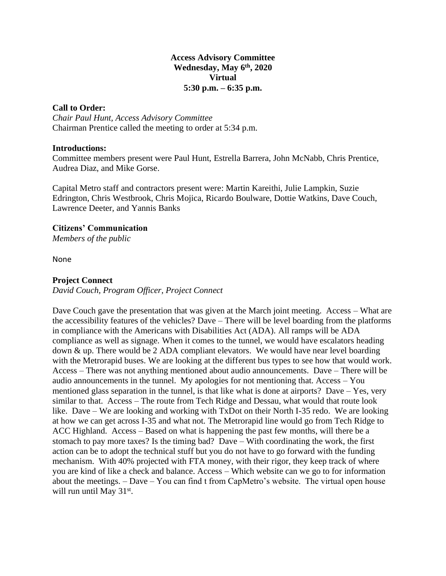## **Access Advisory Committee Wednesday, May 6 th, 2020 Virtual 5:30 p.m. – 6:35 p.m.**

## **Call to Order:**

*Chair Paul Hunt, Access Advisory Committee* Chairman Prentice called the meeting to order at 5:34 p.m.

### **Introductions:**

Committee members present were Paul Hunt, Estrella Barrera, John McNabb, Chris Prentice, Audrea Diaz, and Mike Gorse.

Capital Metro staff and contractors present were: Martin Kareithi, Julie Lampkin, Suzie Edrington, Chris Westbrook, Chris Mojica, Ricardo Boulware, Dottie Watkins, Dave Couch, Lawrence Deeter, and Yannis Banks

# **Citizens' Communication**

*Members of the public*

None

### **Project Connect**

*David Couch, Program Officer, Project Connect*

Dave Couch gave the presentation that was given at the March joint meeting. Access – What are the accessibility features of the vehicles? Dave – There will be level boarding from the platforms in compliance with the Americans with Disabilities Act (ADA). All ramps will be ADA compliance as well as signage. When it comes to the tunnel, we would have escalators heading down & up. There would be 2 ADA compliant elevators. We would have near level boarding with the Metrorapid buses. We are looking at the different bus types to see how that would work. Access – There was not anything mentioned about audio announcements. Dave – There will be audio announcements in the tunnel. My apologies for not mentioning that. Access – You mentioned glass separation in the tunnel, is that like what is done at airports? Dave – Yes, very similar to that. Access – The route from Tech Ridge and Dessau, what would that route look like. Dave – We are looking and working with TxDot on their North I-35 redo. We are looking at how we can get across I-35 and what not. The Metrorapid line would go from Tech Ridge to ACC Highland. Access – Based on what is happening the past few months, will there be a stomach to pay more taxes? Is the timing bad? Dave – With coordinating the work, the first action can be to adopt the technical stuff but you do not have to go forward with the funding mechanism. With 40% projected with FTA money, with their rigor, they keep track of where you are kind of like a check and balance. Access – Which website can we go to for information about the meetings. – Dave – You can find t from CapMetro's website. The virtual open house will run until May 31<sup>st</sup>.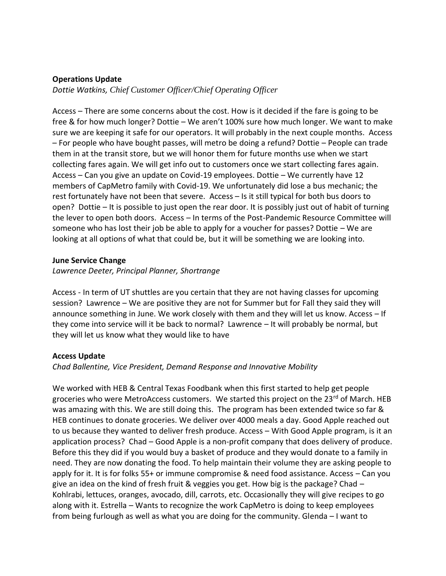## **Operations Update**

*Dottie Watkins, Chief Customer Officer/Chief Operating Officer*

Access – There are some concerns about the cost. How is it decided if the fare is going to be free & for how much longer? Dottie – We aren't 100% sure how much longer. We want to make sure we are keeping it safe for our operators. It will probably in the next couple months. Access – For people who have bought passes, will metro be doing a refund? Dottie – People can trade them in at the transit store, but we will honor them for future months use when we start collecting fares again. We will get info out to customers once we start collecting fares again. Access – Can you give an update on Covid-19 employees. Dottie – We currently have 12 members of CapMetro family with Covid-19. We unfortunately did lose a bus mechanic; the rest fortunately have not been that severe. Access – Is it still typical for both bus doors to open? Dottie – It is possible to just open the rear door. It is possibly just out of habit of turning the lever to open both doors. Access – In terms of the Post-Pandemic Resource Committee will someone who has lost their job be able to apply for a voucher for passes? Dottie – We are looking at all options of what that could be, but it will be something we are looking into.

### **June Service Change**

*Lawrence Deeter, Principal Planner, Shortrange*

Access - In term of UT shuttles are you certain that they are not having classes for upcoming session? Lawrence – We are positive they are not for Summer but for Fall they said they will announce something in June. We work closely with them and they will let us know. Access – If they come into service will it be back to normal? Lawrence – It will probably be normal, but they will let us know what they would like to have

### **Access Update**

*Chad Ballentine, Vice President, Demand Response and Innovative Mobility*

We worked with HEB & Central Texas Foodbank when this first started to help get people groceries who were MetroAccess customers. We started this project on the 23<sup>rd</sup> of March. HEB was amazing with this. We are still doing this. The program has been extended twice so far & HEB continues to donate groceries. We deliver over 4000 meals a day. Good Apple reached out to us because they wanted to deliver fresh produce. Access – With Good Apple program, is it an application process? Chad – Good Apple is a non-profit company that does delivery of produce. Before this they did if you would buy a basket of produce and they would donate to a family in need. They are now donating the food. To help maintain their volume they are asking people to apply for it. It is for folks 55+ or immune compromise & need food assistance. Access – Can you give an idea on the kind of fresh fruit & veggies you get. How big is the package? Chad  $-$ Kohlrabi, lettuces, oranges, avocado, dill, carrots, etc. Occasionally they will give recipes to go along with it. Estrella – Wants to recognize the work CapMetro is doing to keep employees from being furlough as well as what you are doing for the community. Glenda – I want to